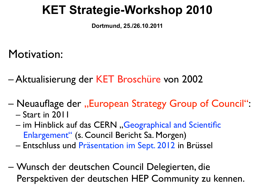### **KET Strategie-Workshop 2010**

**Dortmund, 25./26.10.2011**

Motivation:

– Aktualisierung der KET Broschüre von 2002

- Neuauflage der "European Strategy Group of Council":
	- Start in 2011
	- im Hinblick auf das CERN "Geographical and Scientific Enlargement" (s. Council Bericht Sa. Morgen)
	- Entschluss und Präsentation im Sept. 2012 in Brüssel
- Wunsch der deutschen Council Delegierten, die Perspektiven der deutschen HEP Community zu kennen.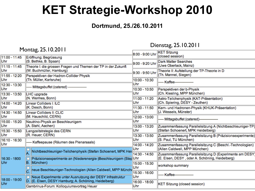### **KET Strategie-Workshop 2010**

#### **Dortmund, 25./26.10.2011**

Montag, 25.10.2011 Dienstag, 25.10.2011

| $\Gamma$ iontag, 25.10.2011 |                                                                                                                  |                      |                                                           |
|-----------------------------|------------------------------------------------------------------------------------------------------------------|----------------------|-----------------------------------------------------------|
|                             |                                                                                                                  | 8:00 - 9:00 Uhr      | <b>KET Sitzung</b>                                        |
| 11:00 - 11:45               | Eröffnung; Begrüssung                                                                                            |                      | (closed session)                                          |
| Uhr                         | (S. Bethke, B. Spaan)                                                                                            | 9:00 - 9:20 Uhr      | <b>Dark Matter Searches</b>                               |
| 11:15 - 11:45               | Theorie I: die grossen Fragen und Themen der TP in der Zukunft                                                   |                      | (Uwe Oberlack, Mainz)                                     |
| Uhr                         | (W. Buchmüller, Hamburg)                                                                                         | 9:30 - 9:50 Uhr      | Theorie II: Aufstellung der TP-Theorie in D               |
| 11:55 - 12:20               | Perspektiven der Hadron-Collider Physik                                                                          |                      | (Th. Mannel, Siegen)                                      |
| Uhr                         | (Th. Müller, Karlsruhe)                                                                                          | 10:00 - 10:30<br>Uhr | - Kaffee-                                                 |
| 12:30 - 13:30<br>Uhr        | ----- Mittagsbuffet (catered) -----------------                                                                  |                      |                                                           |
| 13:30 - 13:50               |                                                                                                                  | 10:30 - 10:50<br>Uhr | Perspektiven der b-Physik<br>(Ch. Kiesling, MPP München)  |
| Uhr                         | <b>LHC</b> upgrade<br>(N. Wermes, Bonn)                                                                          | 11:00 - 11:20        | Astro-Teilchenphysik (KAT-Präsentation)                   |
| 14:00 - 14:20               | Linear Colliders I: ILC                                                                                          | Uhr                  | (Ch. Spiering, DESY - Zeuthen)                            |
| Uhr                         | (K. Desch, Bonn)                                                                                                 | 11:30 - 11:50        | Kern- und Hadronen-Physik (KHUK-Präsentation)             |
| 14:30 - 14:50               | Linear Colliders II: CLIC                                                                                        | Uhr                  | (J. Wessels, Münster)                                     |
| Uhr                         | (M. Hauschild, CERN)                                                                                             | 12:00 - 13:00        |                                                           |
| 15:00 - 15:20               | Neutrino-Physik an Beschleunigern                                                                                | Uhr                  | - Mittagsbuffet (catered)-----------------                |
| Uhr                         | (A. Stahl, Aachen)                                                                                               | 13:00 - 13:20        | Zusammenfassung Parallelsitzung A (Nichtbeschleuniger-TP) |
| 15:30 - 15:50               | Langzeitstrategie des CERN                                                                                       | Uhr                  | (Stefan Schoenert, MPK Heidelberg)                        |
| Uhr                         | (R. Heuer; CERN)                                                                                                 | 13:30 - 13:50        | Zusammenfassung Parallelsitzung B (Präzisionsexperimente) |
| 16:10 - 16:30               | ----- Kaffeepause (Räumen des Plenarsaals)                                                                       | Uhr                  | (S. Paul, TU München)                                     |
| Uhr                         |                                                                                                                  | 14:00 - 14:20        | Zusammenfassung Parallelsitzung C (Beschl.-Technologien)  |
|                             | Nichtbeschleuniger-Teilchenphysik (Stefan Schoenert, MPK Heid                                                    | Uhr                  | (Allen Caldwell, MPP München)                             |
|                             |                                                                                                                  | 14:30 - 14:50        | Zusammenfassung Parallelsitzung D (Experimente am DESY)   |
| 16:30 - 1800<br>Uhr         | Präzisionsexperimente an (Niederenergie-)Beschleunigern (StepUhr<br>B. München)                                  |                      | (E. Elsen, DESY, oder A. Schöning, Heidelberg)            |
|                             |                                                                                                                  | 15:00 - 15:30<br>Uhr | workshop summary                                          |
|                             | neue Beschleuniger-Technologien (Allen Caldwell, MPP Münche<br>$\bar{c}$                                         | 15:30 - 16:00        |                                                           |
| 18:00 - 19:00<br>Uhr        | Neue Experimente unter Ausnutzung der DESY Infrastruktur<br>D. (E. Elsen, DESY Hamburg; A. Schöning, Heidelberg) | Uhr                  | Kaffee                                                    |
|                             |                                                                                                                  | 16:00 - 18:00        | <b>KET Sitzung (closed session)</b>                       |
|                             | Gambrinus-Forum: Kolloquiumsvortrag Heuer                                                                        | Uhr                  |                                                           |
|                             |                                                                                                                  |                      |                                                           |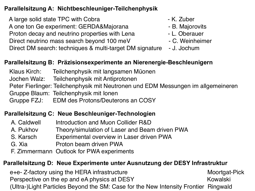#### **Parallelsitzung A: Nichtbeschleuniger-Teilchenphysik**

 A large solid state TPC with Cobra - K. Zuber A one ton Ge experiment: GERDA&Majorana  $\overline{a}$  - B. Majorovits Proton decay and neutrino properties with Lena **Theorem 2-1**. Oberauer Direct neutrino mass search beyond 100 meV - C. Weinheimer Direct DM search: techniques & multi-target DM signature - J. Jochum

- 
- 
- 
- 
- 

#### **Parallelsitzung B: Präzisionsexperimente an Nierenergie-Beschleunigern**

- Klaus Kirch: Teilchenphysik mit langsamen Müonen
- Jochen Walz: Teilchenphysik mit Antiprotonen
- Peter Fierlinger: Teilchenphysik mit Neutronen und EDM Messungen im allgemeineren
- Gruppe Blaum: Teilchenphysik mit Ionen
- Gruppe FZJ: EDM des Protons/Deuterons an COSY

#### **Parallelsitzung C: Neue Beschleuniger-Technologien**

- A. Caldwell **Introduction and Muon Collider R&D**
- A. Pukhov Theory/simulation of Laser and Beam driven PWA
- S. Karsch Experimental overview in Laser driven PWA
- G. Xia " " " " Proton beam driven PWA
- F. Zimmermann Outlook for PWA experiments

#### **Parallelsitzung D: Neue Experimente unter Ausnutzung der DESY Infrastruktur**

[e+e- Z-factory using the HERA infrastructure](http://indico.desy.de/contributionDisplay.py?contribId=36&sessionId=5&confId=3525) Moortgat-Pick [Perspective on the ep and eA physics at DESY](http://indico.desy.de/contributionDisplay.py?contribId=37&sessionId=5&confId=3525) Kowalski [\(Ultra-\)Light Particles Beyond the SM: Case for the New Intensity Frontier](http://indico.desy.de/contributionDisplay.py?contribId=38&sessionId=5&confId=3525) Ringwald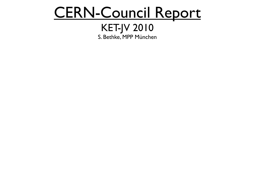## CERN-Council Report

#### KET-JV 2010 S. Bethke, MPP München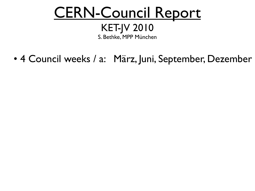## CERN-Council Report

#### KET-JV 2010 S. Bethke, MPP München

• 4 Council weeks / a: März, Juni, September, Dezember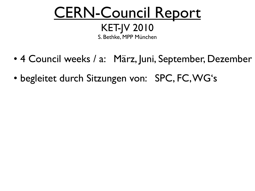# CERN-Council Report

KET-JV 2010 S. Bethke, MPP München

- 4 Council weeks / a: März, Juni, September, Dezember
- begleitet durch Sitzungen von: SPC, FC, WG's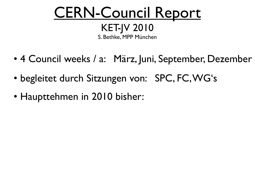- 4 Council weeks / a: März, Juni, September, Dezember
- begleitet durch Sitzungen von: SPC, FC, WG's
- Haupttehmen in 2010 bisher: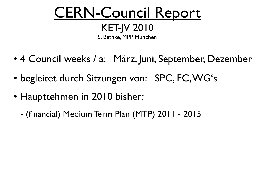- 4 Council weeks / a: März, Juni, September, Dezember
- begleitet durch Sitzungen von: SPC, FC, WG's
- Haupttehmen in 2010 bisher:
	- (financial) Medium Term Plan (MTP) 2011 2015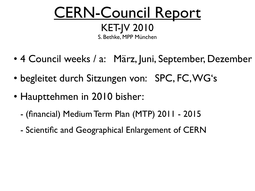- 4 Council weeks / a: März, Juni, September, Dezember
- begleitet durch Sitzungen von: SPC, FC, WG's
- Haupttehmen in 2010 bisher:
	- (financial) Medium Term Plan (MTP) 2011 2015
	- Scientific and Geographical Enlargement of CERN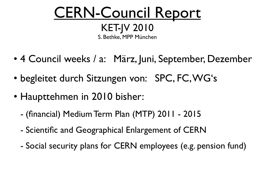- 4 Council weeks / a: März, Juni, September, Dezember
- begleitet durch Sitzungen von: SPC, FC, WG's
- Haupttehmen in 2010 bisher:
	- (financial) Medium Term Plan (MTP) 2011 2015
	- Scientific and Geographical Enlargement of CERN
	- Social security plans for CERN employees (e.g. pension fund)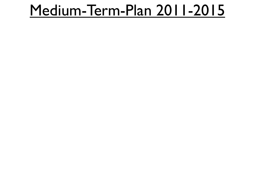- 
- 
- 
- 
- 
- 
-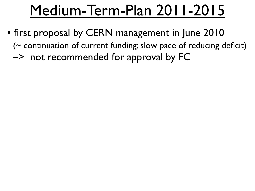- first proposal by CERN management in June 2010  $($  continuation of current funding; slow pace of reducing deficit)
	- –> not recommended for approval by FC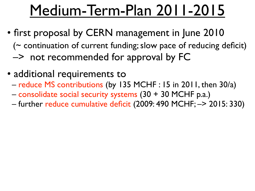- first proposal by CERN management in June 2010  $($  continuation of current funding; slow pace of reducing deficit)
	- –> not recommended for approval by FC
- additional requirements to
	- reduce MS contributions (by 135 MCHF : 15 in 2011, then 30/a)
	- consolidate social security systems (30 + 30 MCHF p.a.)
	- further reduce cumulative deficit (2009: 490 MCHF; –> 2015: 330)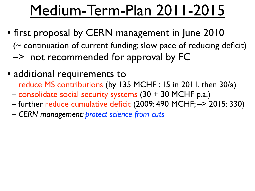- first proposal by CERN management in June 2010  $($  continuation of current funding; slow pace of reducing deficit)
	- –> not recommended for approval by FC
- additional requirements to
	- reduce MS contributions (by 135 MCHF : 15 in 2011, then 30/a)
	- consolidate social security systems (30 + 30 MCHF p.a.)
	- further reduce cumulative deficit (2009: 490 MCHF; –> 2015: 330)
	- *CERN management: protect science from cuts*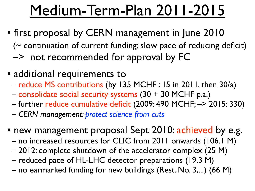- first proposal by CERN management in June 2010 (~ continuation of current funding; slow pace of reducing deficit)
	- –> not recommended for approval by FC
- additional requirements to
	- reduce MS contributions (by 135 MCHF : 15 in 2011, then 30/a)
	- consolidate social security systems (30 + 30 MCHF p.a.)
	- further reduce cumulative deficit (2009: 490 MCHF; –> 2015: 330)
	- *CERN management: protect science from cuts*
- new management proposal Sept 2010: achieved by e.g.
	- no increased resources for CLIC from 2011 onwards (106.1 M)
	- 2012: complete shutdown of the accelerator complex (25 M)
	- reduced pace of HL-LHC detector preparations (19.3 M)
	- no earmarked funding for new buildings (Rest. No. 3,...) (66 M)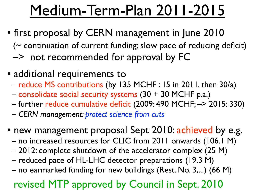- first proposal by CERN management in June 2010 (~ continuation of current funding; slow pace of reducing deficit)
	- –> not recommended for approval by FC
- additional requirements to
	- reduce MS contributions (by 135 MCHF : 15 in 2011, then 30/a)
	- consolidate social security systems (30 + 30 MCHF p.a.)
	- further reduce cumulative deficit (2009: 490 MCHF; –> 2015: 330)
	- *CERN management: protect science from cuts*
- new management proposal Sept 2010: achieved by e.g.
	- no increased resources for CLIC from 2011 onwards (106.1 M)
	- 2012: complete shutdown of the accelerator complex (25 M)
	- reduced pace of HL-LHC detector preparations (19.3 M)
	- no earmarked funding for new buildings (Rest. No. 3,...) (66 M)

### revised MTP approved by Council in Sept. 2010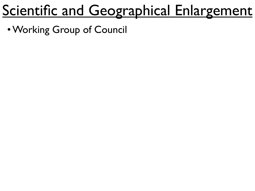• Working Group of Council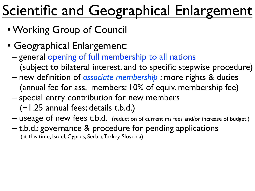- Working Group of Council
- Geographical Enlargement:
	- general opening of full membership to all nations (subject to bilateral interest, and to specific stepwise procedure)
	- new definition of *associate membership* : more rights & duties (annual fee for ass. members: 10% of equiv. membership fee)
	- special entry contribution for new members (~1.25 annual fees; details t.b.d.)
	- useage of new fees t.b.d. (reduction of current ms fees and/or increase of budget.)
	- t.b.d.: governance & procedure for pending applications (at this time, Israel, Cyprus, Serbia, Turkey, Slovenia)